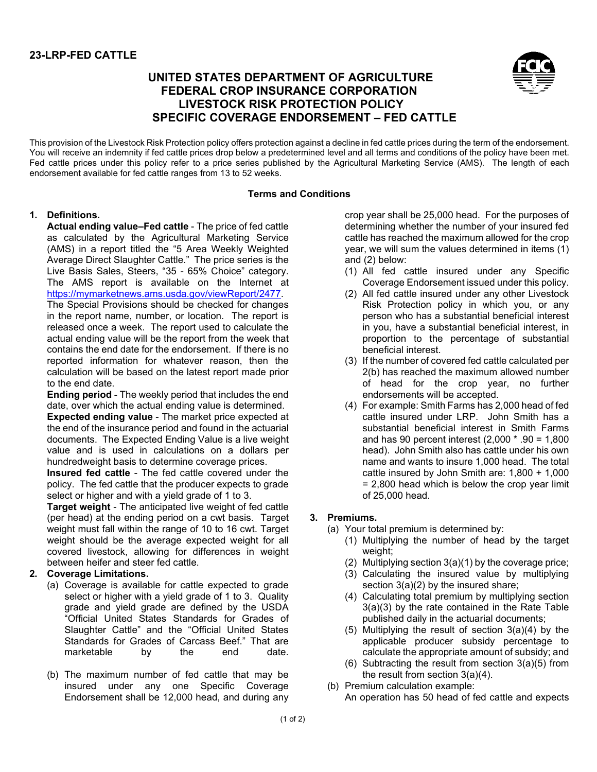# **23-LRP-FED CATTLE**

# **UNITED STATES DEPARTMENT OF AGRICULTURE FEDERAL CROP INSURANCE CORPORATION LIVESTOCK RISK PROTECTION POLICY SPECIFIC COVERAGE ENDORSEMENT – FED CATTLE**



This provision of the Livestock Risk Protection policy offers protection against a decline in fed cattle prices during the term of the endorsement. You will receive an indemnity if fed cattle prices drop below a predetermined level and all terms and conditions of the policy have been met. Fed cattle prices under this policy refer to a price series published by the Agricultural Marketing Service (AMS). The length of each endorsement available for fed cattle ranges from 13 to 52 weeks.

#### **Terms and Conditions**

#### **1. Definitions.**

**Actual ending value–Fed cattle** - The price of fed cattle as calculated by the Agricultural Marketing Service (AMS) in a report titled the "5 Area Weekly Weighted Average Direct Slaughter Cattle." The price series is the Live Basis Sales, Steers, "35 - 65% Choice" category. The AMS report is available on the Internet at [https://mymarketnews.ams.usda.gov/viewReport/2477.](https://mymarketnews.ams.usda.gov/viewReport/2477)

The Special Provisions should be checked for changes in the report name, number, or location. The report is released once a week. The report used to calculate the actual ending value will be the report from the week that contains the end date for the endorsement. If there is no reported information for whatever reason, then the calculation will be based on the latest report made prior to the end date.

**Ending period** - The weekly period that includes the end date, over which the actual ending value is determined.

**Expected ending value** - The market price expected at the end of the insurance period and found in the actuarial documents. The Expected Ending Value is a live weight value and is used in calculations on a dollars per hundredweight basis to determine coverage prices.

**Insured fed cattle** - The fed cattle covered under the policy. The fed cattle that the producer expects to grade select or higher and with a yield grade of 1 to 3.

**Target weight** - The anticipated live weight of fed cattle (per head) at the ending period on a cwt basis. Target weight must fall within the range of 10 to 16 cwt. Target weight should be the average expected weight for all covered livestock, allowing for differences in weight between heifer and steer fed cattle.

## **2. Coverage Limitations.**

- (a) Coverage is available for cattle expected to grade select or higher with a yield grade of 1 to 3. Quality grade and yield grade are defined by the USDA "Official United States Standards for Grades of Slaughter Cattle" and the "Official United States Standards for Grades of Carcass Beef." That are marketable by the end date.
- <span id="page-0-0"></span>(b) The maximum number of fed cattle that may be insured under any one Specific Coverage Endorsement shall be 12,000 head, and during any

crop year shall be 25,000 head. For the purposes of determining whether the number of your insured fed cattle has reached the maximum allowed for the crop year, we will sum the values determined in items (1) and (2) below:

- (1) All fed cattle insured under any Specific Coverage Endorsement issued under this policy.
- (2) All fed cattle insured under any other Livestock Risk Protection policy in which you, or any person who has a substantial beneficial interest in you, have a substantial beneficial interest, in proportion to the percentage of substantial beneficial interest.
- (3) If the number of covered fed cattle calculated per [2\(b\)](#page-0-0) has reached the maximum allowed number of head for the crop year, no further endorsements will be accepted.
- (4) For example: Smith Farms has 2,000 head of fed cattle insured under LRP. John Smith has a substantial beneficial interest in Smith Farms and has 90 percent interest (2,000 \* .90 = 1,800 head). John Smith also has cattle under his own name and wants to insure 1,000 head. The total cattle insured by John Smith are: 1,800 + 1,000 = 2,800 head which is below the crop year limit of 25,000 head.

## <span id="page-0-1"></span>**3. Premiums.**

- <span id="page-0-4"></span><span id="page-0-3"></span><span id="page-0-2"></span>(a) Your total premium is determined by:
	- (1) Multiplying the number of head by the target weight;
	- (2) Multiplying section [3\(a\)\(1\)](#page-0-1) by the coverage price;
	- (3) Calculating the insured value by multiplying section  $3(a)(2)$  by the insured share;
	- (4) Calculating total premium by multiplying section [3\(a\)\(3\)](#page-0-3) by the rate contained in the Rate Table published daily in the actuarial documents;
	- (5) Multiplying the result of section [3\(a\)\(4\)](#page-0-4) by the applicable producer subsidy percentage to calculate the appropriate amount of subsidy; and
	- (6) Subtracting the result from section [3\(a\)\(5\)](#page-0-5) from the result from section [3\(a\)\(4\).](#page-0-4)
- <span id="page-0-5"></span>(b) Premium calculation example:
	- An operation has 50 head of fed cattle and expects